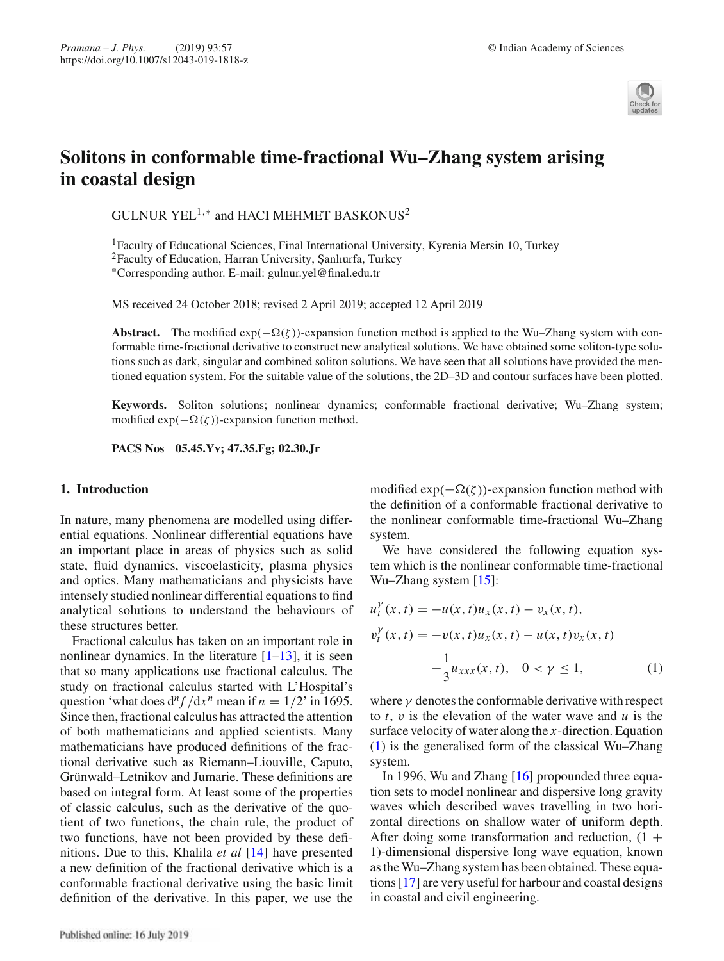

# **Solitons in conformable time-fractional Wu–Zhang system arising in coastal design**

GULNUR YEL<sup>1,\*</sup> and HACI MEHMET BASKONUS<sup>2</sup>

<sup>1</sup>Faculty of Educational Sciences, Final International University, Kyrenia Mersin 10, Turkey  $2$ Faculty of Education, Harran University, Şanlıurfa, Turkey ∗Corresponding author. E-mail: gulnur.yel@final.edu.tr

MS received 24 October 2018; revised 2 April 2019; accepted 12 April 2019

**Abstract.** The modified  $exp(-\Omega(\zeta))$ -expansion function method is applied to the Wu–Zhang system with conformable time-fractional derivative to construct new analytical solutions. We have obtained some soliton-type solutions such as dark, singular and combined soliton solutions. We have seen that all solutions have provided the mentioned equation system. For the suitable value of the solutions, the 2D–3D and contour surfaces have been plotted.

**Keywords.** Soliton solutions; nonlinear dynamics; conformable fractional derivative; Wu–Zhang system; modified  $exp(-\Omega(\zeta))$ -expansion function method.

**PACS Nos 05.45.Yv; 47.35.Fg; 02.30.Jr**

# **1. Introduction**

In nature, many phenomena are modelled using differential equations. Nonlinear differential equations have an important place in areas of physics such as solid state, fluid dynamics, viscoelasticity, plasma physics and optics. Many mathematicians and physicists have intensely studied nonlinear differential equations to find analytical solutions to understand the behaviours of these structures better.

Fractional calculus has taken on an important role in nonlinear dynamics. In the literature  $[1-13]$ , it is seen that so many applications use fractional calculus. The study on fractional calculus started with L'Hospital's question 'what does  $d^n f / dx^n$  mean if  $n = 1/2$ ' in 1695. Since then, fractional calculus has attracted the attention of both mathematicians and applied scientists. Many mathematicians have produced definitions of the fractional derivative such as Riemann–Liouville, Caputo, Grünwald–Letnikov and Jumarie. These definitions are based on integral form. At least some of the properties of classic calculus, such as the derivative of the quotient of two functions, the chain rule, the product of two functions, have not been provided by these definitions. Due to this, Khalila *et al* [14] have presented a new definition of the fractional derivative which is a conformable fractional derivative using the basic limit definition of the derivative. In this paper, we use the

modified  $exp(-\Omega(\zeta))$ -expansion function method with the definition of a conformable fractional derivative to the nonlinear conformable time-fractional Wu–Zhang system.

We have considered the following equation system which is the nonlinear conformable time-fractional Wu–Zhang system [15]:

$$
u_t^{\gamma}(x, t) = -u(x, t)u_x(x, t) - v_x(x, t),
$$
  
\n
$$
v_t^{\gamma}(x, t) = -v(x, t)u_x(x, t) - u(x, t)v_x(x, t)
$$
  
\n
$$
-\frac{1}{3}u_{xxx}(x, t), \quad 0 < \gamma \le 1,
$$
\n(1)

where  $\gamma$  denotes the conformable derivative with respect to *t*, v is the elevation of the water wave and *u* is the surface velocity of water along the *x*-direction. Equation (1) is the generalised form of the classical Wu–Zhang system.

In 1996, Wu and Zhang [16] propounded three equation sets to model nonlinear and dispersive long gravity waves which described waves travelling in two horizontal directions on shallow water of uniform depth. After doing some transformation and reduction,  $(1 +$ 1)-dimensional dispersive long wave equation, known as the Wu–Zhang system has been obtained. These equations [17] are very useful for harbour and coastal designs in coastal and civil engineering.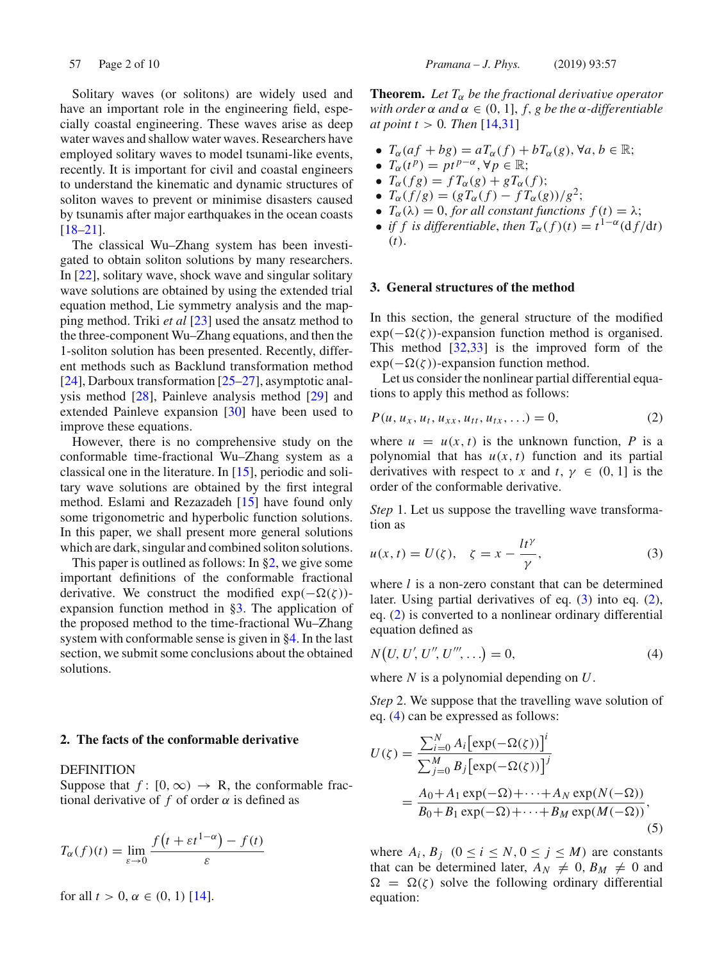Solitary waves (or solitons) are widely used and have an important role in the engineering field, especially coastal engineering. These waves arise as deep water waves and shallow water waves. Researchers have employed solitary waves to model tsunami-like events, recently. It is important for civil and coastal engineers to understand the kinematic and dynamic structures of soliton waves to prevent or minimise disasters caused by tsunamis after major earthquakes in the ocean coasts [18–21].

The classical Wu–Zhang system has been investigated to obtain soliton solutions by many researchers. In [22], solitary wave, shock wave and singular solitary wave solutions are obtained by using the extended trial equation method, Lie symmetry analysis and the mapping method. Triki *et al* [23] used the ansatz method to the three-component Wu–Zhang equations, and then the 1-soliton solution has been presented. Recently, different methods such as Backlund transformation method [24], Darboux transformation [25–27], asymptotic analysis method [28], Painleve analysis method [29] and extended Painleve expansion [30] have been used to improve these equations.

However, there is no comprehensive study on the conformable time-fractional Wu–Zhang system as a classical one in the literature. In [15], periodic and solitary wave solutions are obtained by the first integral method. Eslami and Rezazadeh [15] have found only some trigonometric and hyperbolic function solutions. In this paper, we shall present more general solutions which are dark, singular and combined soliton solutions.

This paper is outlined as follows: In §2, we give some important definitions of the conformable fractional derivative. We construct the modified  $exp(-\Omega(\zeta))$ expansion function method in §3. The application of the proposed method to the time-fractional Wu–Zhang system with conformable sense is given in §4. In the last section, we submit some conclusions about the obtained solutions.

#### **2. The facts of the conformable derivative**

# DEFINITION

Suppose that  $f: [0, \infty) \rightarrow \mathbb{R}$ , the conformable fractional derivative of  $f$  of order  $\alpha$  is defined as

$$
T_{\alpha}(f)(t) = \lim_{\varepsilon \to 0} \frac{f(t + \varepsilon t^{1-\alpha}) - f(t)}{\varepsilon}
$$

for all  $t > 0$ ,  $\alpha \in (0, 1)$  [14].

**Theorem.** Let  $T_{\alpha}$  be the fractional derivative operator *with order*  $\alpha$  *and*  $\alpha \in (0, 1]$ , *f*, *g be the*  $\alpha$ *-differentiable at point t* > 0*. Then* [14,31]

- $T_{\alpha}(af + bg) = aT_{\alpha}(f) + bT_{\alpha}(g)$ ,  $\forall a, b \in \mathbb{R}$ ;
- $T_{\alpha}(t^p) = pt^{p-\alpha}, \forall p \in \mathbb{R};$
- $T_{\alpha}(fg) = fT_{\alpha}(g) + gT_{\alpha}(f);$
- $T_{\alpha}(f/g) = (gT_{\alpha}(f) fT_{\alpha}(g))/g^{2};$
- $T_\alpha(\lambda) = 0$ , for all constant functions  $f(t) = \lambda$ ;
- *if f is differentiable, then*  $T_{\alpha}(f)(t) = t^{1-\alpha}(\frac{df}{dt})$ (*t*).

## **3. General structures of the method**

In this section, the general structure of the modified  $\exp(-\Omega(\zeta))$ -expansion function method is organised. This method [32,33] is the improved form of the  $exp(-\Omega(\zeta))$ -expansion function method.

Let us consider the nonlinear partial differential equations to apply this method as follows:

$$
P(u, u_x, u_t, u_{xx}, u_{tt}, u_{tx}, \ldots) = 0, \tag{2}
$$

where  $u = u(x, t)$  is the unknown function, P is a polynomial that has  $u(x, t)$  function and its partial derivatives with respect to *x* and *t*,  $\gamma \in (0, 1]$  is the order of the conformable derivative.

*Step* 1. Let us suppose the travelling wave transformation as

$$
u(x,t) = U(\zeta), \quad \zeta = x - \frac{lt^{\gamma}}{\gamma}, \tag{3}
$$

where *l* is a non-zero constant that can be determined later. Using partial derivatives of eq. (3) into eq. (2), eq. (2) is converted to a nonlinear ordinary differential equation defined as

$$
N(U, U', U'', U''', \ldots) = 0,
$$
\n(4)

where *N* is a polynomial depending on *U*.

*Step* 2. We suppose that the travelling wave solution of eq. (4) can be expressed as follows:

$$
U(\zeta) = \frac{\sum_{i=0}^{N} A_i \left[ \exp(-\Omega(\zeta)) \right]^i}{\sum_{j=0}^{M} B_j \left[ \exp(-\Omega(\zeta)) \right]^j}
$$
  
= 
$$
\frac{A_0 + A_1 \exp(-\Omega) + \dots + A_N \exp(N(-\Omega))}{B_0 + B_1 \exp(-\Omega) + \dots + B_M \exp(M(-\Omega))},
$$
(5)

where  $A_i$ ,  $B_j$  ( $0 \le i \le N$ ,  $0 \le j \le M$ ) are constants that can be determined later,  $A_N \neq 0$ ,  $B_M \neq 0$  and  $\Omega = \Omega(\zeta)$  solve the following ordinary differential equation: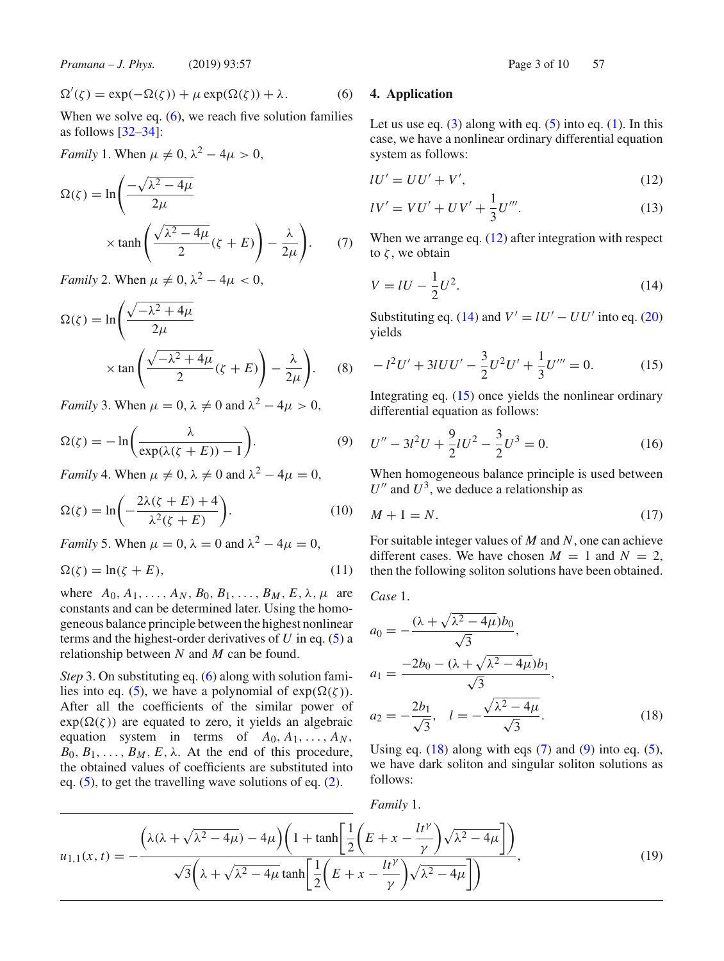*Pramana – J. Phys.* (2019) 93:57 **Page 3 of 10 57** Page 3 of 10 57

$$
\Omega'(\zeta) = \exp(-\Omega(\zeta)) + \mu \exp(\Omega(\zeta)) + \lambda. \tag{6}
$$

When we solve eq.  $(6)$ , we reach five solution families as follows  $[32-34]$ :

*Family* 1. When  $\mu \neq 0$ ,  $\lambda^2 - 4\mu > 0$ ,

$$
\Omega(\zeta) = \ln\left(\frac{-\sqrt{\lambda^2 - 4\mu}}{2\mu}\right)
$$

$$
\times \tanh\left(\frac{\sqrt{\lambda^2 - 4\mu}}{2}(\zeta + E)\right) - \frac{\lambda}{2\mu}.
$$
 (7)

*Family* 2. When  $\mu \neq 0$ ,  $\lambda^2 - 4\mu < 0$ ,

$$
\Omega(\zeta) = \ln\left(\frac{\sqrt{-\lambda^2 + 4\mu}}{2\mu}\right)
$$

$$
\times \tan\left(\frac{\sqrt{-\lambda^2 + 4\mu}}{2}(\zeta + E)\right) - \frac{\lambda}{2\mu}.
$$
 (8)

*Family* 3. When  $\mu = 0$ ,  $\lambda \neq 0$  and  $\lambda^2 - 4\mu > 0$ ,

$$
\Omega(\zeta) = -\ln\bigg(\frac{\lambda}{\exp(\lambda(\zeta + E)) - 1}\bigg). \tag{9}
$$

*Family* 4. When  $\mu \neq 0$ ,  $\lambda \neq 0$  and  $\lambda^2 - 4\mu = 0$ ,

$$
\Omega(\zeta) = \ln\left(-\frac{2\lambda(\zeta + E) + 4}{\lambda^2(\zeta + E)}\right).
$$
 (10)

*Family* 5. When  $\mu = 0$ ,  $\lambda = 0$  and  $\lambda^2 - 4\mu = 0$ ,

$$
\Omega(\zeta) = \ln(\zeta + E),\tag{11}
$$

where  $A_0, A_1, \ldots, A_N, B_0, B_1, \ldots, B_M, E, \lambda, \mu$  are constants and can be determined later. Using the homogeneous balance principle between the highest nonlinear terms and the highest-order derivatives of *U* in eq. (5) a relationship between *N* and *M* can be found.

*Step* 3. On substituting eq. (6) along with solution families into eq. (5), we have a polynomial of  $exp(\Omega(\zeta))$ . After all the coefficients of the similar power of  $exp(\Omega(\zeta))$  are equated to zero, it yields an algebraic equation system in terms of  $A_0, A_1, \ldots, A_N$ ,  $B_0, B_1, \ldots, B_M, E, \lambda$ . At the end of this procedure, the obtained values of coefficients are substituted into eq. (5), to get the travelling wave solutions of eq. (2).

## **4. Application**

Let us use eq.  $(3)$  along with eq.  $(5)$  into eq.  $(1)$ . In this case, we have a nonlinear ordinary differential equation system as follows:

$$
lU' = UU' + V',\tag{12}
$$

$$
lV' = VU' + UV' + \frac{1}{3}U'''.
$$
 (13)

When we arrange eq. (12) after integration with respect to  $\zeta$ , we obtain

$$
V = lU - \frac{1}{2}U^2.
$$
 (14)

Substituting eq. (14) and  $V' = lU' - UU'$  into eq. (20) yields

$$
-l^2U' + 3UU' - \frac{3}{2}U^2U' + \frac{1}{3}U''' = 0.
$$
 (15)

Integrating eq. (15) once yields the nonlinear ordinary differential equation as follows:

$$
U'' - 3l^2U + \frac{9}{2}lU^2 - \frac{3}{2}U^3 = 0.
$$
 (16)

When homogeneous balance principle is used between  $U''$  and  $U^3$ , we deduce a relationship as

$$
M + 1 = N.\t(17)
$$

For suitable integer values of *M* and *N*, one can achieve different cases. We have chosen  $M = 1$  and  $N = 2$ , then the following soliton solutions have been obtained.

*Case* 1.

$$
a_0 = -\frac{(\lambda + \sqrt{\lambda^2 - 4\mu})b_0}{\sqrt{3}},
$$
  
\n
$$
a_1 = \frac{-2b_0 - (\lambda + \sqrt{\lambda^2 - 4\mu})b_1}{\sqrt{3}},
$$
  
\n
$$
a_2 = -\frac{2b_1}{\sqrt{3}}, \quad l = -\frac{\sqrt{\lambda^2 - 4\mu}}{\sqrt{3}}.
$$
\n(18)

Using eq.  $(18)$  along with eqs  $(7)$  and  $(9)$  into eq.  $(5)$ , we have dark soliton and singular soliton solutions as follows:

$$
Family 1.
$$
\n
$$
u_{1,1}(x,t) = -\frac{\left(\lambda(\lambda + \sqrt{\lambda^2 - 4\mu}) - 4\mu\right)\left(1 + \tanh\left[\frac{1}{2}\left(E + x - \frac{lt^{\gamma}}{\gamma}\right)\sqrt{\lambda^2 - 4\mu}\right]\right)}{\sqrt{3}\left(\lambda + \sqrt{\lambda^2 - 4\mu}\tanh\left[\frac{1}{2}\left(E + x - \frac{lt^{\gamma}}{\gamma}\right)\sqrt{\lambda^2 - 4\mu}\right]\right)},
$$
\n(19)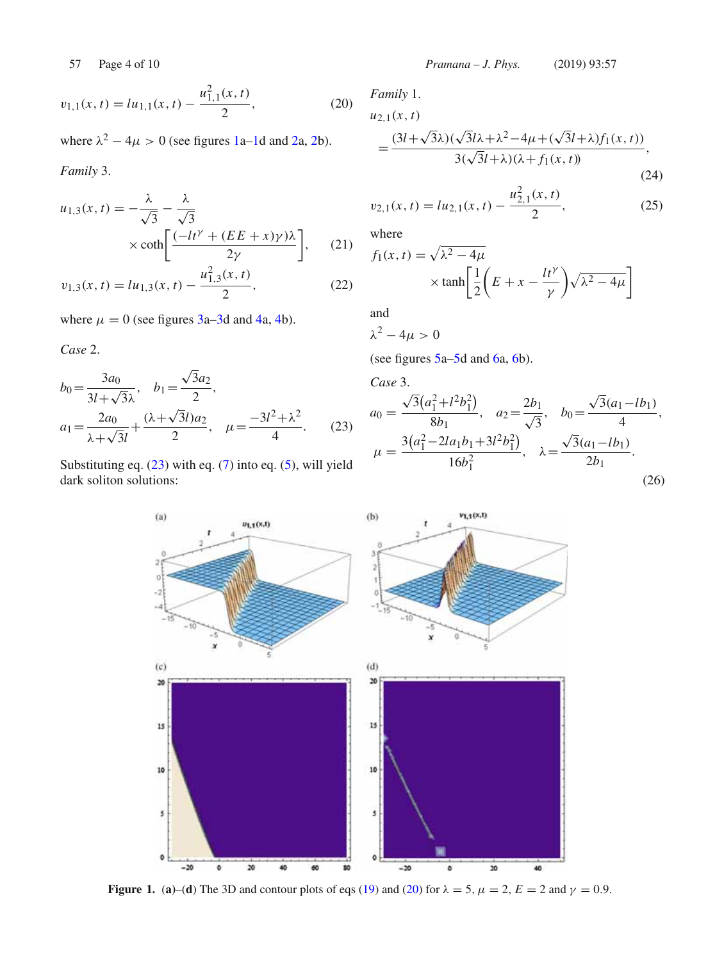where  $\lambda^2 - 4\mu > 0$  (see figures 1a–1d and 2a, 2b).

*Family* 3.

$$
u_{1,3}(x,t) = -\frac{\lambda}{\sqrt{3}} - \frac{\lambda}{\sqrt{3}}\times \coth\left[\frac{(-lt^{\gamma} + (EE + x)\gamma)\lambda}{2\gamma}\right],
$$
 (21)  

$$
v_{1,3}(x,t) = lu_{1,3}(x,t) - \frac{u_{1,3}^2(x,t)}{2},
$$
 (22)

where  $\mu = 0$  (see figures 3a–3d and 4a, 4b).

*Case* 2.

$$
b_0 = \frac{3a_0}{3l + \sqrt{3}\lambda}, \quad b_1 = \frac{\sqrt{3}a_2}{2},
$$
  

$$
a_1 = \frac{2a_0}{\lambda + \sqrt{3}l} + \frac{(\lambda + \sqrt{3}l)a_2}{2}, \quad \mu = \frac{-3l^2 + \lambda^2}{4}.
$$
 (23)

Substituting eq. (23) with eq. (7) into eq. (5), will yield dark soliton solutions:

57 Page 4 of 10 *Pramana – J. Phys.* (2019) 93:57

*Family* 1.

$$
u_{2,1}(x,t)
$$
  
= 
$$
\frac{(3l+\sqrt{3}\lambda)(\sqrt{3}l\lambda+\lambda^2-4\mu+(\sqrt{3}l+\lambda)f_1(x,t))}{3(\sqrt{3}l+\lambda)(\lambda+f_1(x,t))}
$$
, (24)

$$
v_{2,1}(x,t) = lu_{2,1}(x,t) - \frac{u_{2,1}^2(x,t)}{2},
$$
\n(25)

where

$$
f_1(x, t) = \sqrt{\lambda^2 - 4\mu}
$$
  
 
$$
\times \tanh\left[\frac{1}{2}\left(E + x - \frac{lt^{\gamma}}{\gamma}\right)\sqrt{\lambda^2 - 4\mu}\right]
$$

and

$$
\lambda^2-4\mu>0
$$

(see figures 5a–5d and 6a, 6b).

*Case* 3.

$$
a_0 = \frac{\sqrt{3}(a_1^2 + l^2 b_1^2)}{8b_1}, \quad a_2 = \frac{2b_1}{\sqrt{3}}, \quad b_0 = \frac{\sqrt{3}(a_1 - lb_1)}{4},
$$

$$
\mu = \frac{3(a_1^2 - 2la_1 b_1 + 3l^2 b_1^2)}{16b_1^2}, \quad \lambda = \frac{\sqrt{3}(a_1 - lb_1)}{2b_1}.
$$
(26)



**Figure 1.** (a)–(d) The 3D and contour plots of eqs (19) and (20) for  $\lambda = 5$ ,  $\mu = 2$ ,  $E = 2$  and  $\gamma = 0.9$ .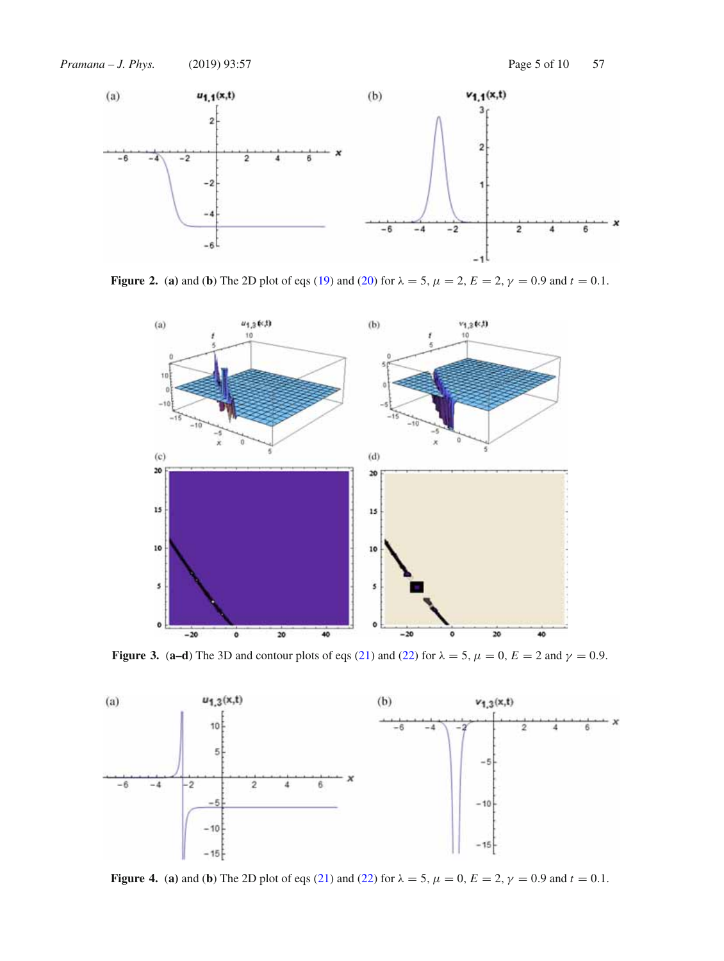

**Figure 2.** (a) and (b) The 2D plot of eqs (19) and (20) for  $\lambda = 5$ ,  $\mu = 2$ ,  $E = 2$ ,  $\gamma = 0.9$  and  $t = 0.1$ .



**Figure 3.** (**a–d**) The 3D and contour plots of eqs (21) and (22) for  $\lambda = 5$ ,  $\mu = 0$ ,  $E = 2$  and  $\gamma = 0.9$ .



**Figure 4.** (a) and (b) The 2D plot of eqs (21) and (22) for  $\lambda = 5$ ,  $\mu = 0$ ,  $E = 2$ ,  $\gamma = 0.9$  and  $t = 0.1$ .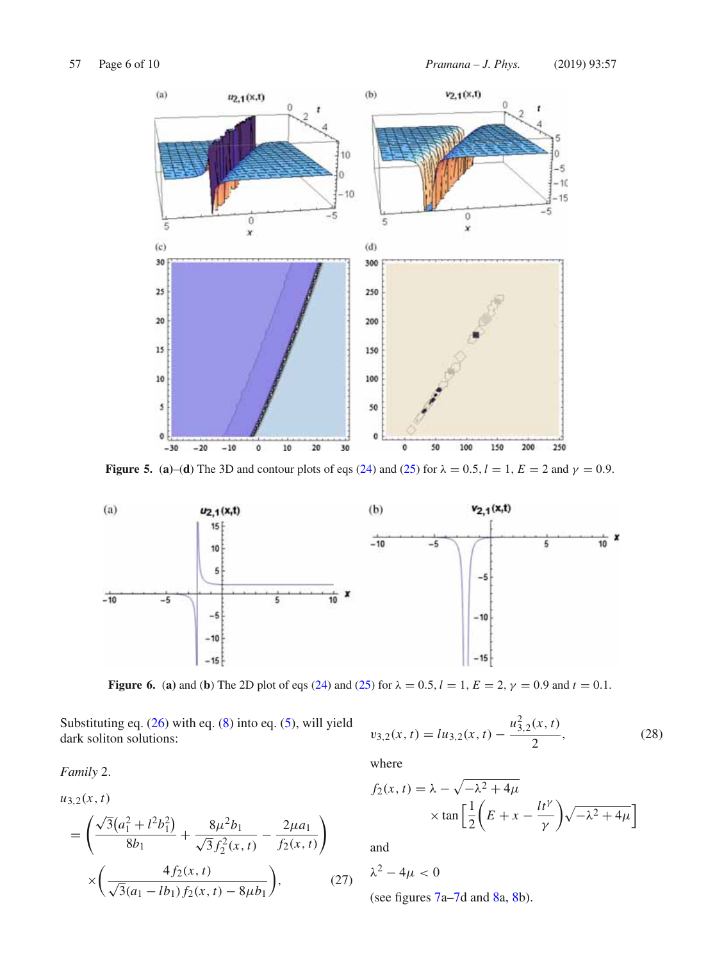

**Figure 5.** (a)–(d) The 3D and contour plots of eqs (24) and (25) for  $\lambda = 0.5$ ,  $l = 1$ ,  $E = 2$  and  $\gamma = 0.9$ .



**Figure 6.** (a) and (b) The 2D plot of eqs (24) and (25) for  $\lambda = 0.5$ ,  $l = 1$ ,  $E = 2$ ,  $\gamma = 0.9$  and  $t = 0.1$ .

Substituting eq. (26) with eq. (8) into eq. (5), will yield dark soliton solutions:

$$
v_{3,2}(x,t) = lu_{3,2}(x,t) - \frac{u_{3,2}^2(x,t)}{2},
$$
\n(28)

*Family* 2.

$$
u_{3,2}(x, t)
$$
\n
$$
= \left(\frac{\sqrt{3}(a_1^2 + l^2 b_1^2)}{8b_1} + \frac{8\mu^2 b_1}{\sqrt{3}f_2^2(x, t)} - \frac{2\mu a_1}{f_2(x, t)}\right)
$$
\n
$$
\times \left(\frac{4f_2(x, t)}{\sqrt{3}(a_1 - lb_1)f_2(x, t) - 8\mu b_1}\right),
$$
\n(27)

where

$$
f_2(x, t) = \lambda - \sqrt{-\lambda^2 + 4\mu}
$$

$$
\times \tan\left[\frac{1}{2}\left(E + x - \frac{lt^{\gamma}}{\gamma}\right)\sqrt{-\lambda^2 + 4\mu}\right]
$$

and

$$
\lambda^2 - 4\mu < 0
$$
\n(see figures 7a–7d and 8a, 8b).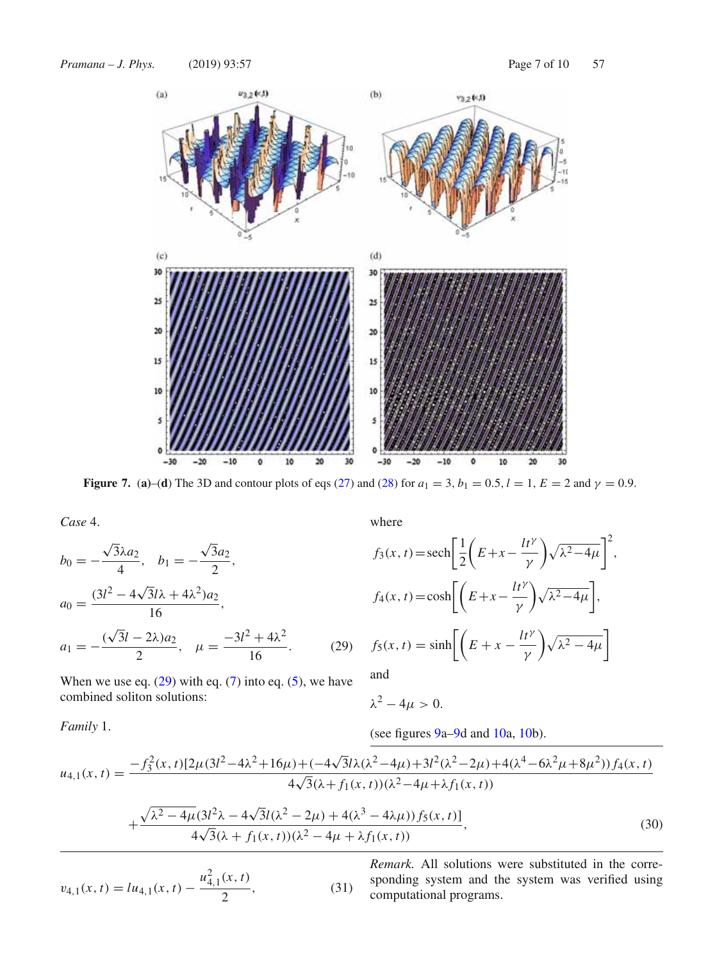

**Figure 7.** (**a**)–(**d**) The 3D and contour plots of eqs (27) and (28) for  $a_1 = 3$ ,  $b_1 = 0.5$ ,  $l = 1$ ,  $E = 2$  and  $\gamma = 0.9$ .

*Case* 4.

$$
b_0 = -\frac{\sqrt{3\lambda a_2}}{4}, \quad b_1 = -\frac{\sqrt{3}a_2}{2},
$$
  
\n
$$
a_0 = \frac{(3l^2 - 4\sqrt{3}l\lambda + 4\lambda^2)a_2}{16},
$$
  
\n
$$
a_1 = -\frac{(\sqrt{3}l - 2\lambda)a_2}{2}, \quad \mu = \frac{-3l^2 + 4\lambda^2}{16}.
$$
 (29)

When we use eq.  $(29)$  with eq.  $(7)$  into eq.  $(5)$ , we have combined soliton solutions:

where

$$
f_3(x, t) = \operatorname{sech}\left[\frac{1}{2}\left(E + x - \frac{lt^{\gamma}}{\gamma}\right)\sqrt{\lambda^2 - 4\mu}\right]^2,
$$
  

$$
f_4(x, t) = \cosh\left[\left(E + x - \frac{lt^{\gamma}}{\gamma}\right)\sqrt{\lambda^2 - 4\mu}\right],
$$
  

$$
f_5(x, t) = \sinh\left[\left(E + x - \frac{lt^{\gamma}}{\gamma}\right)\sqrt{\lambda^2 - 4\mu}\right]
$$

and

$$
\lambda^2-4\mu>0.
$$

*Family* 1.

(see figures 
$$
9a-9d
$$
 and  $10a$ ,  $10b$ ).

$$
u_{4,1}(x,t) = \frac{-f_3^2(x,t)[2\mu(3l^2 - 4\lambda^2 + 16\mu) + (-4\sqrt{3}l\lambda(\lambda^2 - 4\mu) + 3l^2(\lambda^2 - 2\mu) + 4(\lambda^4 - 6\lambda^2\mu + 8\mu^2))f_4(x,t)}{4\sqrt{3}(\lambda + f_1(x,t))(\lambda^2 - 4\mu + \lambda f_1(x,t))} + \frac{\sqrt{\lambda^2 - 4\mu}(3l^2\lambda - 4\sqrt{3}l(\lambda^2 - 2\mu) + 4(\lambda^3 - 4\lambda\mu))f_5(x,t)]}{4\sqrt{3}(\lambda + f_1(x,t))(\lambda^2 - 4\mu + \lambda f_1(x,t))},
$$
(30)

$$
v_{4,1}(x,t) = l u_{4,1}(x,t) - \frac{u_{4,1}^2(x,t)}{2},
$$
\n(31)

*Remark.* All solutions were substituted in the corresponding system and the system was verified using computational programs.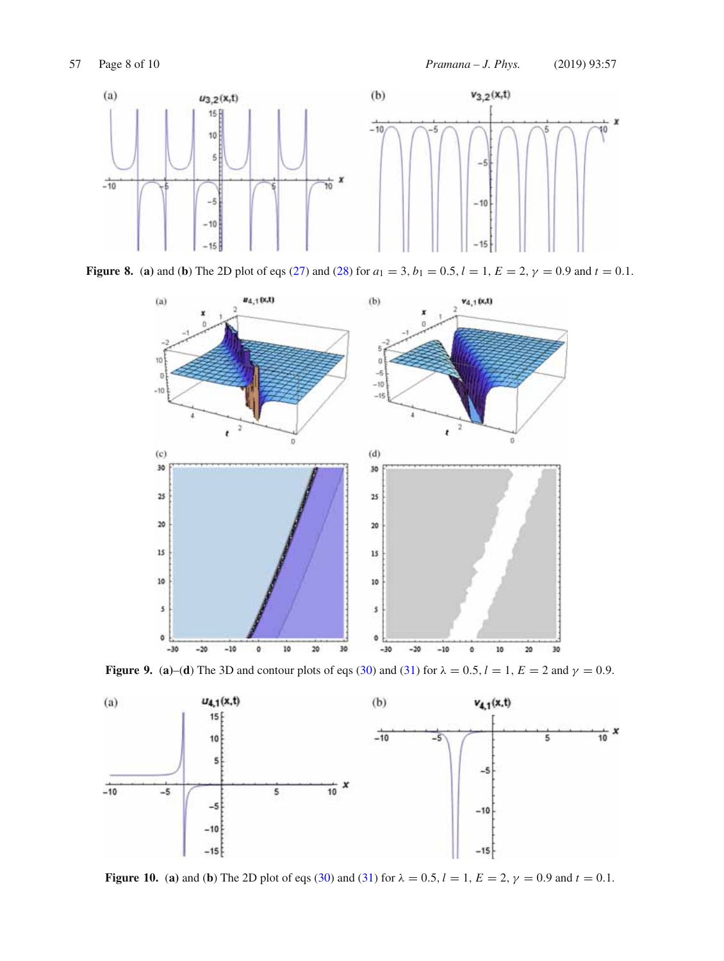

**Figure 8.** (a) and (b) The 2D plot of eqs (27) and (28) for  $a_1 = 3$ ,  $b_1 = 0.5$ ,  $l = 1$ ,  $E = 2$ ,  $\gamma = 0.9$  and  $t = 0.1$ .



**Figure 9.** (a)–(d) The 3D and contour plots of eqs (30) and (31) for  $\lambda = 0.5$ ,  $l = 1$ ,  $E = 2$  and  $\gamma = 0.9$ .



**Figure 10.** (a) and (b) The 2D plot of eqs (30) and (31) for  $\lambda = 0.5$ ,  $l = 1$ ,  $E = 2$ ,  $\gamma = 0.9$  and  $t = 0.1$ .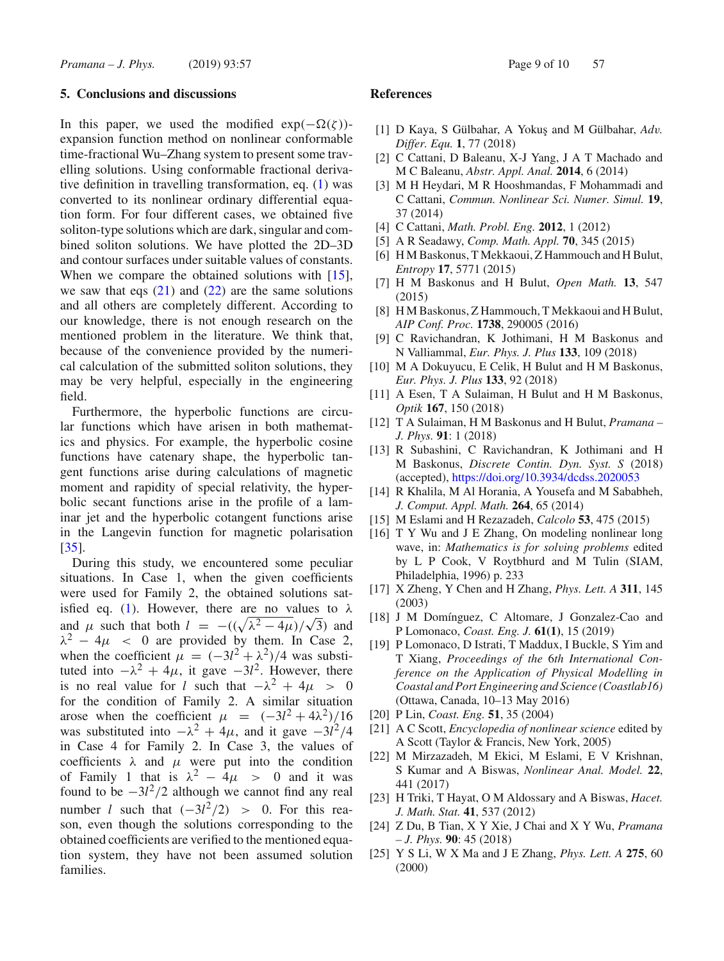### **5. Conclusions and discussions**

In this paper, we used the modified  $exp(-\Omega(\zeta))$ expansion function method on nonlinear conformable time-fractional Wu–Zhang system to present some travelling solutions. Using conformable fractional derivative definition in travelling transformation, eq. (1) was converted to its nonlinear ordinary differential equation form. For four different cases, we obtained five soliton-type solutions which are dark, singular and combined soliton solutions. We have plotted the 2D–3D and contour surfaces under suitable values of constants. When we compare the obtained solutions with [15], we saw that eqs  $(21)$  and  $(22)$  are the same solutions and all others are completely different. According to our knowledge, there is not enough research on the mentioned problem in the literature. We think that, because of the convenience provided by the numerical calculation of the submitted soliton solutions, they may be very helpful, especially in the engineering field.

Furthermore, the hyperbolic functions are circular functions which have arisen in both mathematics and physics. For example, the hyperbolic cosine functions have catenary shape, the hyperbolic tangent functions arise during calculations of magnetic moment and rapidity of special relativity, the hyperbolic secant functions arise in the profile of a laminar jet and the hyperbolic cotangent functions arise in the Langevin function for magnetic polarisation [35].

During this study, we encountered some peculiar situations. In Case 1, when the given coefficients were used for Family 2, the obtained solutions satisfied eq. (1). However, there are no values to  $\lambda$ and  $\mu$  such that both  $l = -((\sqrt{\lambda^2 - 4\mu})/\sqrt{3})$  and  $\lambda^2 - 4\mu$  < 0 are provided by them. In Case 2, when the coefficient  $\mu = (-3l^2 + \lambda^2)/4$  was substituted into  $-\lambda^2 + 4\mu$ , it gave  $-3l^2$ . However, there is no real value for *l* such that  $-\lambda^2 + 4\mu > 0$ for the condition of Family 2. A similar situation arose when the coefficient  $\mu = (-3l^2 + 4\lambda^2)/16$ was substituted into  $-\lambda^2 + 4\mu$ , and it gave  $-3l^2/4$ in Case 4 for Family 2. In Case 3, the values of coefficients  $\lambda$  and  $\mu$  were put into the condition of Family 1 that is  $\lambda^2 - 4\mu > 0$  and it was found to be  $-3l^2/2$  although we cannot find any real number *l* such that  $(-3l^2/2) > 0$ . For this reason, even though the solutions corresponding to the obtained coefficients are verified to the mentioned equation system, they have not been assumed solution families.

#### **References**

- [1] D Kaya, S Gülbahar, A Yokuş and M Gülbahar, *Adv. Differ. Equ.* **1**, 77 (2018)
- [2] C Cattani, D Baleanu, X-J Yang, J A T Machado and M C Baleanu, *Abstr. Appl. Anal.* **2014**, 6 (2014)
- [3] M H Heydari, M R Hooshmandas, F Mohammadi and C Cattani, *Commun. Nonlinear Sci. Numer. Simul.* **19**, 37 (2014)
- [4] C Cattani, *Math. Probl. Eng.* **2012**, 1 (2012)
- [5] A R Seadawy, *Comp. Math. Appl.* **70**, 345 (2015)
- [6] H M Baskonus, T Mekkaoui, Z Hammouch and H Bulut, *Entropy* **17**, 5771 (2015)
- [7] H M Baskonus and H Bulut, *Open Math.* **13**, 547 (2015)
- [8] H M Baskonus, Z Hammouch, T Mekkaoui and H Bulut, *AIP Conf. Proc.* **1738**, 290005 (2016)
- [9] C Ravichandran, K Jothimani, H M Baskonus and N Valliammal, *Eur. Phys. J. Plus* **133**, 109 (2018)
- [10] M A Dokuyucu, E Celik, H Bulut and H M Baskonus, *Eur. Phys. J. Plus* **133**, 92 (2018)
- [11] A Esen, T A Sulaiman, H Bulut and H M Baskonus, *Optik* **167**, 150 (2018)
- [12] T A Sulaiman, H M Baskonus and H Bulut, *Pramana – J. Phys.* **91**: 1 (2018)
- [13] R Subashini, C Ravichandran, K Jothimani and H M Baskonus, *Discrete Contin. Dyn. Syst. S* (2018) (accepted), https://doi.org/10.3934/dcdss.2020053
- [14] R Khalila, M Al Horania, A Yousefa and M Sababheh, *J. Comput. Appl. Math.* **264**, 65 (2014)
- [15] M Eslami and H Rezazadeh, *Calcolo* **53**, 475 (2015)
- [16] T Y Wu and J E Zhang, On modeling nonlinear long wave, in: *Mathematics is for solving problems* edited by L P Cook, V Roytbhurd and M Tulin (SIAM, Philadelphia, 1996) p. 233
- [17] X Zheng, Y Chen and H Zhang, *Phys. Lett. A* **311**, 145 (2003)
- [18] J M Domínguez, C Altomare, J Gonzalez-Cao and P Lomonaco, *Coast. Eng. J.* **61(1)**, 15 (2019)
- [19] P Lomonaco, D Istrati, T Maddux, I Buckle, S Yim and T Xiang, *Proceedings of the* 6*th International Conference on the Application of Physical Modelling in Coastal and Port Engineering and Science (Coastlab16)* (Ottawa, Canada, 10–13 May 2016)
- [20] P Lin, *Coast. Eng.* **51**, 35 (2004)
- [21] A C Scott, *Encyclopedia of nonlinear science* edited by A Scott (Taylor & Francis, New York, 2005)
- [22] M Mirzazadeh, M Ekici, M Eslami, E V Krishnan, S Kumar and A Biswas, *Nonlinear Anal. Model.* **22**, 441 (2017)
- [23] H Triki, T Hayat, O M Aldossary and A Biswas, *Hacet. J. Math. Stat.* **41**, 537 (2012)
- [24] Z Du, B Tian, X Y Xie, J Chai and X Y Wu, *Pramana – J. Phys.* **90**: 45 (2018)
- [25] Y S Li, W X Ma and J E Zhang, *Phys. Lett. A* **275**, 60 (2000)